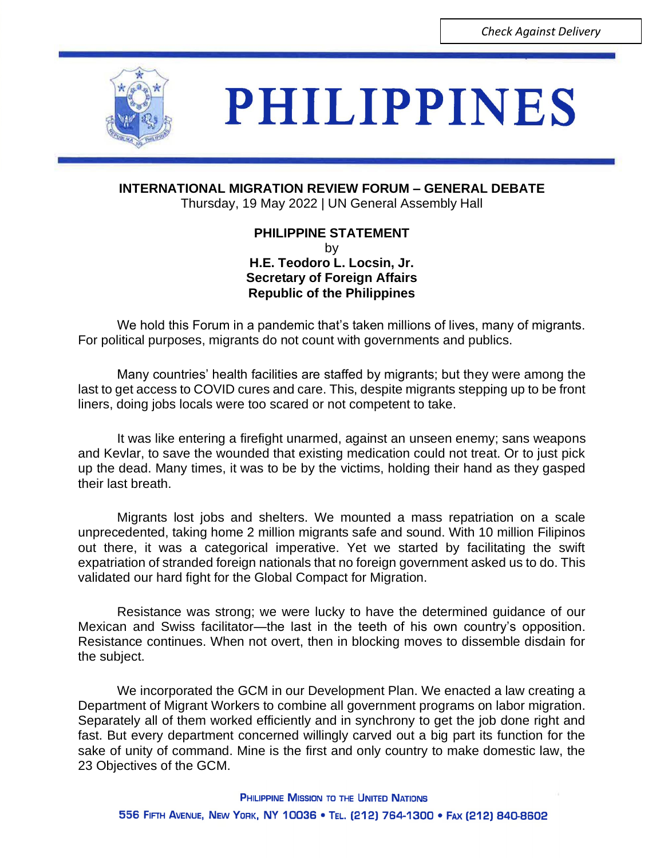

## **PHILIPPINES**

**INTERNATIONAL MIGRATION REVIEW FORUM – GENERAL DEBATE**

Thursday, 19 May 2022 | UN General Assembly Hall

**PHILIPPINE STATEMENT** by **H.E. Teodoro L. Locsin, Jr. Secretary of Foreign Affairs Republic of the Philippines** 

We hold this Forum in a pandemic that's taken millions of lives, many of migrants. For political purposes, migrants do not count with governments and publics.

Many countries' health facilities are staffed by migrants; but they were among the last to get access to COVID cures and care. This, despite migrants stepping up to be front liners, doing jobs locals were too scared or not competent to take.

It was like entering a firefight unarmed, against an unseen enemy; sans weapons and Kevlar, to save the wounded that existing medication could not treat. Or to just pick up the dead. Many times, it was to be by the victims, holding their hand as they gasped their last breath.

Migrants lost jobs and shelters. We mounted a mass repatriation on a scale unprecedented, taking home 2 million migrants safe and sound. With 10 million Filipinos out there, it was a categorical imperative. Yet we started by facilitating the swift expatriation of stranded foreign nationals that no foreign government asked us to do. This validated our hard fight for the Global Compact for Migration.

Resistance was strong; we were lucky to have the determined guidance of our Mexican and Swiss facilitator—the last in the teeth of his own country's opposition. Resistance continues. When not overt, then in blocking moves to dissemble disdain for the subject.

We incorporated the GCM in our Development Plan. We enacted a law creating a Department of Migrant Workers to combine all government programs on labor migration. Separately all of them worked efficiently and in synchrony to get the job done right and fast. But every department concerned willingly carved out a big part its function for the sake of unity of command. Mine is the first and only country to make domestic law, the 23 Objectives of the GCM.